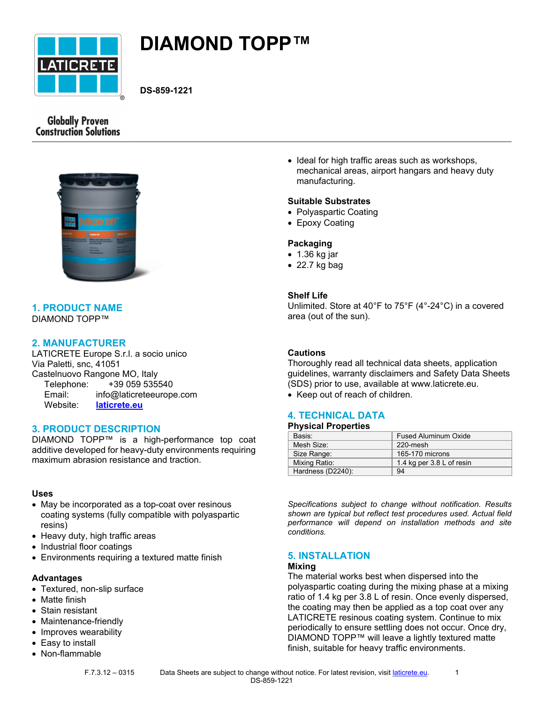

# **DIAMOND TOPP™**

**DS-859-1221**

# **Globally Proven Construction Solutions**



## **1. PRODUCT NAME** DIAMOND TOPP™

# **2. MANUFACTURER**

LATICRETE Europe S.r.l. a socio unico Via Paletti, snc, 41051 Castelnuovo Rangone MO, Italy Telephone: +39 059 535540 Email: info@laticreteeurope.com Website: **[laticrete.eu](http://www.laticrete.eu/)**

## **3. PRODUCT DESCRIPTION**

DIAMOND TOPP™ is a high-performance top coat additive developed for heavy-duty environments requiring maximum abrasion resistance and traction.

### **Uses**

- May be incorporated as a top-coat over resinous coating systems (fully compatible with polyaspartic resins)
- Heavy duty, high traffic areas
- Industrial floor coatings
- Environments requiring a textured matte finish

#### **Advantages**

- Textured, non-slip surface
- Matte finish
- Stain resistant
- Maintenance-friendly
- Improves wearability
- Easy to install
- Non-flammable
	-

• Ideal for high traffic areas such as workshops, mechanical areas, airport hangars and heavy duty manufacturing.

#### **Suitable Substrates**

- Polyaspartic Coating
- Epoxy Coating

#### **Packaging**

- 1.36 kg jar
- 22.7 kg bag

## **Shelf Life**

Unlimited. Store at 40°F to 75°F (4°-24°C) in a covered area (out of the sun).

## **Cautions**

Thoroughly read all technical data sheets, application guidelines, warranty disclaimers and Safety Data Sheets (SDS) prior to use, available at www.laticrete.eu.

• Keep out of reach of children.

## **4. TECHNICAL DATA**

### **Physical Properties**

| Basis:            | <b>Fused Aluminum Oxide</b> |
|-------------------|-----------------------------|
| Mesh Size:        | 220-mesh                    |
| Size Range:       | 165-170 microns             |
| Mixing Ratio:     | 1.4 kg per 3.8 L of resin   |
| Hardness (D2240): | 94                          |

*Specifications subject to change without notification. Results shown are typical but reflect test procedures used. Actual field performance will depend on installation methods and site conditions.*

## **5. INSTALLATION**

#### **Mixing**

The material works best when dispersed into the polyaspartic coating during the mixing phase at a mixing ratio of 1.4 kg per 3.8 L of resin. Once evenly dispersed, the coating may then be applied as a top coat over any LATICRETE resinous coating system. Continue to mix periodically to ensure settling does not occur. Once dry, DIAMOND TOPP™ will leave a lightly textured matte finish, suitable for heavy traffic environments.